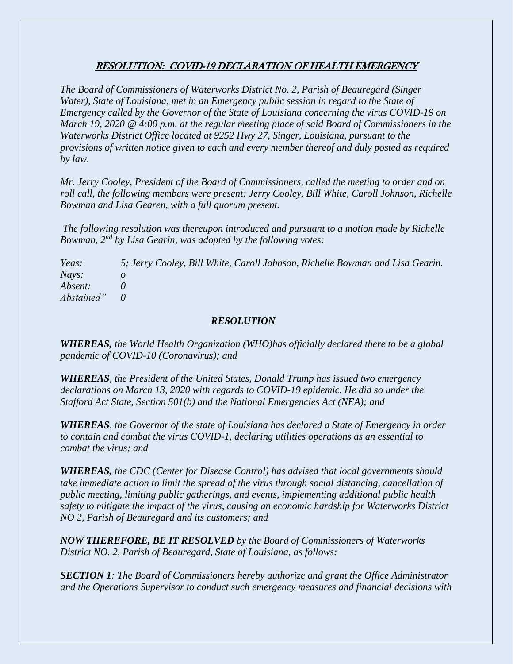## RESOLUTION: COVID-19 DECLARATION OF HEALTH EMERGENCY

*The Board of Commissioners of Waterworks District No. 2, Parish of Beauregard (Singer Water), State of Louisiana, met in an Emergency public session in regard to the State of Emergency called by the Governor of the State of Louisiana concerning the virus COVID-19 on March 19, 2020 @ 4:00 p.m. at the regular meeting place of said Board of Commissioners in the Waterworks District Office located at 9252 Hwy 27, Singer, Louisiana, pursuant to the provisions of written notice given to each and every member thereof and duly posted as required by law.*

*Mr. Jerry Cooley, President of the Board of Commissioners, called the meeting to order and on roll call, the following members were present: Jerry Cooley, Bill White, Caroll Johnson, Richelle Bowman and Lisa Gearen, with a full quorum present.*

*The following resolution was thereupon introduced and pursuant to a motion made by Richelle Bowman, 2nd by Lisa Gearin, was adopted by the following votes:*

*Yeas: 5; Jerry Cooley, Bill White, Caroll Johnson, Richelle Bowman and Lisa Gearin. Nays: o Absent: 0 Abstained" 0*

## *RESOLUTION*

*WHEREAS, the World Health Organization (WHO)has officially declared there to be a global pandemic of COVID-10 (Coronavirus); and*

*WHEREAS, the President of the United States, Donald Trump has issued two emergency declarations on March 13, 2020 with regards to COVID-19 epidemic. He did so under the Stafford Act State, Section 501(b) and the National Emergencies Act (NEA); and*

*WHEREAS, the Governor of the state of Louisiana has declared a State of Emergency in order to contain and combat the virus COVID-1, declaring utilities operations as an essential to combat the virus; and*

*WHEREAS, the CDC (Center for Disease Control) has advised that local governments should take immediate action to limit the spread of the virus through social distancing, cancellation of public meeting, limiting public gatherings, and events, implementing additional public health safety to mitigate the impact of the virus, causing an economic hardship for Waterworks District NO 2, Parish of Beauregard and its customers; and*

*NOW THEREFORE, BE IT RESOLVED by the Board of Commissioners of Waterworks District NO. 2, Parish of Beauregard, State of Louisiana, as follows:*

*SECTION 1: The Board of Commissioners hereby authorize and grant the Office Administrator and the Operations Supervisor to conduct such emergency measures and financial decisions with*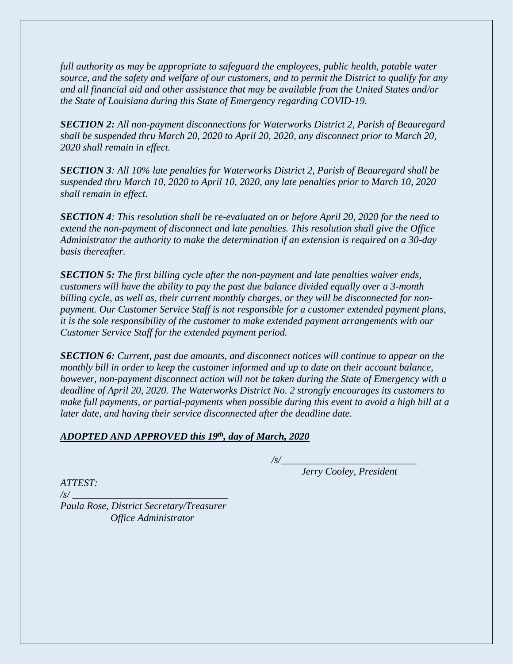*full authority as may be appropriate to safeguard the employees, public health, potable water source, and the safety and welfare of our customers, and to permit the District to qualify for any and all financial aid and other assistance that may be available from the United States and/or the State of Louisiana during this State of Emergency regarding COVID-19.*

*SECTION 2: All non-payment disconnections for Waterworks District 2, Parish of Beauregard shall be suspended thru March 20, 2020 to April 20, 2020, any disconnect prior to March 20, 2020 shall remain in effect.*

*SECTION 3: All 10% late penalties for Waterworks District 2, Parish of Beauregard shall be suspended thru March 10, 2020 to April 10, 2020, any late penalties prior to March 10, 2020 shall remain in effect.*

*SECTION 4: This resolution shall be re-evaluated on or before April 20, 2020 for the need to extend the non-payment of disconnect and late penalties. This resolution shall give the Office Administrator the authority to make the determination if an extension is required on a 30-day basis thereafter.*

*SECTION 5: The first billing cycle after the non-payment and late penalties waiver ends, customers will have the ability to pay the past due balance divided equally over a 3-month billing cycle, as well as, their current monthly charges, or they will be disconnected for nonpayment. Our Customer Service Staff is not responsible for a customer extended payment plans, it is the sole responsibility of the customer to make extended payment arrangements with our Customer Service Staff for the extended payment period.* 

*SECTION 6: Current, past due amounts, and disconnect notices will continue to appear on the monthly bill in order to keep the customer informed and up to date on their account balance, however, non-payment disconnect action will not be taken during the State of Emergency with a deadline of April 20, 2020. The Waterworks District No. 2 strongly encourages its customers to make full payments, or partial-payments when possible during this event to avoid a high bill at a later date, and having their service disconnected after the deadline date.*

## *ADOPTED AND APPROVED this 19th, day of March, 2020*

*/s/\_\_\_\_\_\_\_\_\_\_\_\_\_\_\_\_\_\_\_\_\_\_\_\_\_\_\_*

*Jerry Cooley, President*

*ATTEST:*

*/s/ \_\_\_\_\_\_\_\_\_\_\_\_\_\_\_\_\_\_\_\_\_\_\_\_\_\_\_\_\_\_\_ Paula Rose, District Secretary/Treasurer Office Administrator*